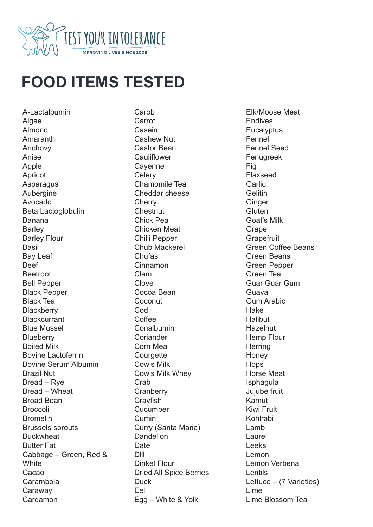

## **FOOD ITEMS TESTED**

A-Lactalbumin Algae Almond Amaranth Anchovy Anise Apple Apricot Asparagus Aubergine Avocado Beta Lactoglobulin Banana **Barley** Barley Flour **Basil** Bay Leaf Beef **Beetroot** Bell Pepper Black Pepper Black Tea **Blackberry Blackcurrant** Blue Mussel **Blueberry** Boiled Milk Bovine Lactoferrin Bovine Serum Albumin Brazil Nut Bread – Rye Bread – Wheat Broad Bean **Broccoli** Bromelin Brussels sprouts **Buckwheat** Butter Fat Cabbage – Green, Red & **White** Cacao Carambola Caraway Cardamon

**Carob** Carrot Casein Cashew Nut Castor Bean Cauliflower **Cavenne Celerv** Chamomile Tea Cheddar cheese **Cherry** Chestnut Chick Pea Chicken Meat Chilli Pepper Chub Mackerel Chufas Cinnamon Clam **Clove** Cocoa Bean **Coconut Cod Coffee Conalbumin Coriander** Corn Meal **Courgette** Cow's Milk Cow's Milk Whey Crab **Cranberry Cravfish Cucumber** Cumin Curry (Santa Maria) **Dandelion Date** Dill Dinkel Flour Dried All Spice Berries **Duck** Eel Egg – White & Yolk

Elk/Moose Meat Endives **Eucalyptus** Fennel Fennel Seed Fenugreek Fig Flaxseed Garlic **Gelitin Ginger Gluten** Goat's Milk Grape **Grapefruit** Green Coffee Beans Green Beans Green Pepper Green Tea Guar Guar Gum Guava Gum Arabic Hake **Halibut Hazelnut** Hemp Flour **Herring Honey Hops** Horse Meat **Isphagula** Jujube fruit Kamut Kiwi Fruit Kohlrabi Lamb Laurel Leeks Lemon Lemon Verbena **Lentils** Lettuce – (7 Varieties) Lime Lime Blossom Tea